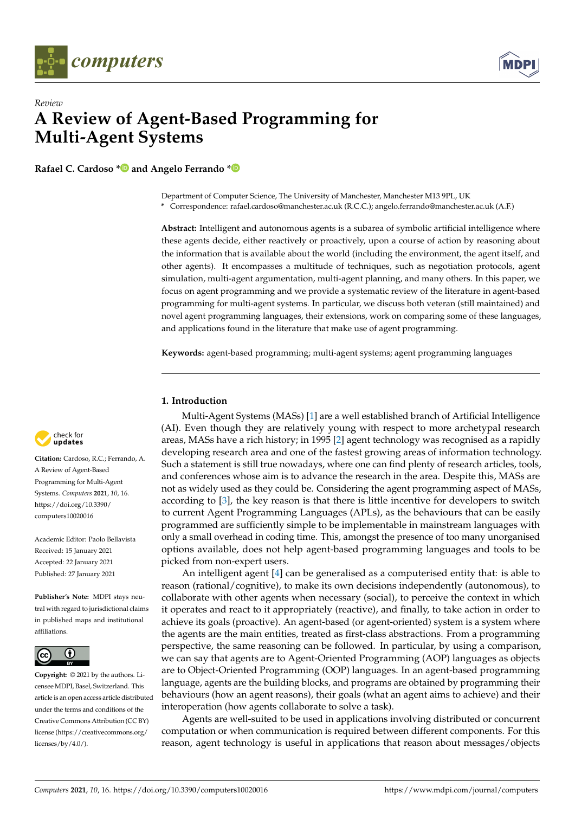



# *Review* **A Review of Agent-Based Programming for Multi-Agent Systems**

**Rafael C. Cardoso [\\*](https://orcid.org/0000-0001-6666-6954) and Angelo Ferrando [\\*](https://orcid.org/0000-0002-8711-4670)**

Department of Computer Science, The University of Manchester, Manchester M13 9PL, UK

**\*** Correspondence: rafael.cardoso@manchester.ac.uk (R.C.C.); angelo.ferrando@manchester.ac.uk (A.F.)

**Abstract:** Intelligent and autonomous agents is a subarea of symbolic artificial intelligence where these agents decide, either reactively or proactively, upon a course of action by reasoning about the information that is available about the world (including the environment, the agent itself, and other agents). It encompasses a multitude of techniques, such as negotiation protocols, agent simulation, multi-agent argumentation, multi-agent planning, and many others. In this paper, we focus on agent programming and we provide a systematic review of the literature in agent-based programming for multi-agent systems. In particular, we discuss both veteran (still maintained) and novel agent programming languages, their extensions, work on comparing some of these languages, and applications found in the literature that make use of agent programming.

**Keywords:** agent-based programming; multi-agent systems; agent programming languages

## **1. Introduction**

Multi-Agent Systems (MASs) [\[1\]](#page-11-0) are a well established branch of Artificial Intelligence (AI). Even though they are relatively young with respect to more archetypal research areas, MASs have a rich history; in 1995 [\[2\]](#page-11-1) agent technology was recognised as a rapidly developing research area and one of the fastest growing areas of information technology. Such a statement is still true nowadays, where one can find plenty of research articles, tools, and conferences whose aim is to advance the research in the area. Despite this, MASs are not as widely used as they could be. Considering the agent programming aspect of MASs, according to [\[3\]](#page-11-2), the key reason is that there is little incentive for developers to switch to current Agent Programming Languages (APLs), as the behaviours that can be easily programmed are sufficiently simple to be implementable in mainstream languages with only a small overhead in coding time. This, amongst the presence of too many unorganised options available, does not help agent-based programming languages and tools to be picked from non-expert users.

An intelligent agent [\[4\]](#page-11-3) can be generalised as a computerised entity that: is able to reason (rational/cognitive), to make its own decisions independently (autonomous), to collaborate with other agents when necessary (social), to perceive the context in which it operates and react to it appropriately (reactive), and finally, to take action in order to achieve its goals (proactive). An agent-based (or agent-oriented) system is a system where the agents are the main entities, treated as first-class abstractions. From a programming perspective, the same reasoning can be followed. In particular, by using a comparison, we can say that agents are to Agent-Oriented Programming (AOP) languages as objects are to Object-Oriented Programming (OOP) languages. In an agent-based programming language, agents are the building blocks, and programs are obtained by programming their behaviours (how an agent reasons), their goals (what an agent aims to achieve) and their interoperation (how agents collaborate to solve a task).

Agents are well-suited to be used in applications involving distributed or concurrent computation or when communication is required between different components. For this reason, agent technology is useful in applications that reason about messages/objects



**Citation:** Cardoso, R.C.; Ferrando, A. A Review of Agent-Based Programming for Multi-Agent Systems. *Computers* **2021**, *10*, 16. [https://doi.org/10.3390/](https://doi.org/10.3390/computers10020016) [computers10020016](https://doi.org/10.3390/computers10020016)

Academic Editor: Paolo Bellavista Received: 15 January 2021 Accepted: 22 January 2021 Published: 27 January 2021

**Publisher's Note:** MDPI stays neutral with regard to jurisdictional claims in published maps and institutional affiliations.



**Copyright:** © 2021 by the authors. Licensee MDPI, Basel, Switzerland. This article is an open access article distributed under the terms and conditions of the Creative Commons Attribution (CC BY) license [\(https://creativecommons.org/](https://creativecommons.org/licenses/by/4.0/) [licenses/by/4.0/\)](https://creativecommons.org/licenses/by/4.0/).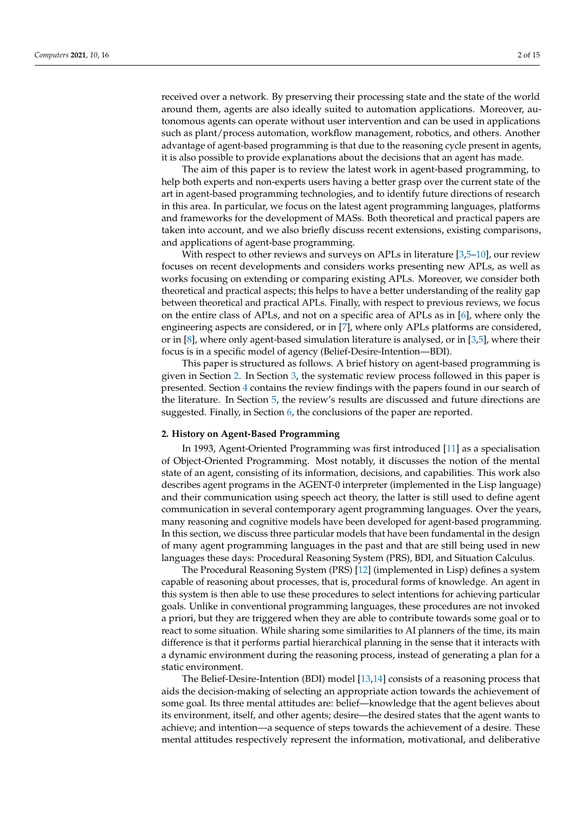received over a network. By preserving their processing state and the state of the world around them, agents are also ideally suited to automation applications. Moreover, autonomous agents can operate without user intervention and can be used in applications such as plant/process automation, workflow management, robotics, and others. Another advantage of agent-based programming is that due to the reasoning cycle present in agents, it is also possible to provide explanations about the decisions that an agent has made.

The aim of this paper is to review the latest work in agent-based programming, to help both experts and non-experts users having a better grasp over the current state of the art in agent-based programming technologies, and to identify future directions of research in this area. In particular, we focus on the latest agent programming languages, platforms and frameworks for the development of MASs. Both theoretical and practical papers are taken into account, and we also briefly discuss recent extensions, existing comparisons, and applications of agent-base programming.

With respect to other reviews and surveys on APLs in literature [\[3,](#page-11-2)[5](#page-11-4)[–10\]](#page-11-5), our review focuses on recent developments and considers works presenting new APLs, as well as works focusing on extending or comparing existing APLs. Moreover, we consider both theoretical and practical aspects; this helps to have a better understanding of the reality gap between theoretical and practical APLs. Finally, with respect to previous reviews, we focus on the entire class of APLs, and not on a specific area of APLs as in [\[6\]](#page-11-6), where only the engineering aspects are considered, or in [\[7\]](#page-11-7), where only APLs platforms are considered, or in [\[8\]](#page-11-8), where only agent-based simulation literature is analysed, or in [\[3,](#page-11-2)[5\]](#page-11-4), where their focus is in a specific model of agency (Belief-Desire-Intention—BDI).

This paper is structured as follows. A brief history on agent-based programming is given in Section [2.](#page-1-0) In Section [3,](#page-2-0) the systematic review process followed in this paper is presented. Section [4](#page-3-0) contains the review findings with the papers found in our search of the literature. In Section [5,](#page-9-0) the review's results are discussed and future directions are suggested. Finally, in Section [6,](#page-10-0) the conclusions of the paper are reported.

#### <span id="page-1-0"></span>**2. History on Agent-Based Programming**

In 1993, Agent-Oriented Programming was first introduced [\[11\]](#page-11-9) as a specialisation of Object-Oriented Programming. Most notably, it discusses the notion of the mental state of an agent, consisting of its information, decisions, and capabilities. This work also describes agent programs in the AGENT-0 interpreter (implemented in the Lisp language) and their communication using speech act theory, the latter is still used to define agent communication in several contemporary agent programming languages. Over the years, many reasoning and cognitive models have been developed for agent-based programming. In this section, we discuss three particular models that have been fundamental in the design of many agent programming languages in the past and that are still being used in new languages these days: Procedural Reasoning System (PRS), BDI, and Situation Calculus.

The Procedural Reasoning System (PRS) [\[12\]](#page-11-10) (implemented in Lisp) defines a system capable of reasoning about processes, that is, procedural forms of knowledge. An agent in this system is then able to use these procedures to select intentions for achieving particular goals. Unlike in conventional programming languages, these procedures are not invoked a priori, but they are triggered when they are able to contribute towards some goal or to react to some situation. While sharing some similarities to AI planners of the time, its main difference is that it performs partial hierarchical planning in the sense that it interacts with a dynamic environment during the reasoning process, instead of generating a plan for a static environment.

The Belief-Desire-Intention (BDI) model [\[13](#page-11-11)[,14\]](#page-11-12) consists of a reasoning process that aids the decision-making of selecting an appropriate action towards the achievement of some goal. Its three mental attitudes are: belief—knowledge that the agent believes about its environment, itself, and other agents; desire—the desired states that the agent wants to achieve; and intention—a sequence of steps towards the achievement of a desire. These mental attitudes respectively represent the information, motivational, and deliberative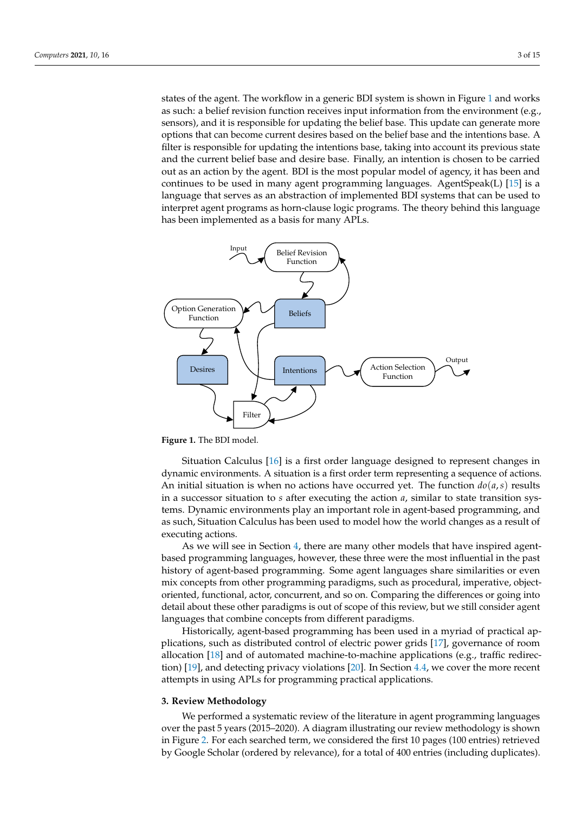states of the agent. The workflow in a generic BDI system is shown in Figure [1](#page-2-1) and works as such: a belief revision function receives input information from the environment (e.g., sensors), and it is responsible for updating the belief base. This update can generate more options that can become current desires based on the belief base and the intentions base. A filter is responsible for updating the intentions base, taking into account its previous state and the current belief base and desire base. Finally, an intention is chosen to be carried out as an action by the agent. BDI is the most popular model of agency, it has been and continues to be used in many agent programming languages. AgentSpeak(L) [\[15\]](#page-11-13) is a language that serves as an abstraction of implemented BDI systems that can be used to interpret agent programs as horn-clause logic programs. The theory behind this language has been implemented as a basis for many APLs.

<span id="page-2-1"></span>

**Figure 1.** The BDI model.

Situation Calculus [\[16\]](#page-11-14) is a first order language designed to represent changes in dynamic environments. A situation is a first order term representing a sequence of actions. An initial situation is when no actions have occurred yet. The function  $do(a, s)$  results in a successor situation to *s* after executing the action *a*, similar to state transition systems. Dynamic environments play an important role in agent-based programming, and as such, Situation Calculus has been used to model how the world changes as a result of executing actions.

As we will see in Section [4,](#page-3-0) there are many other models that have inspired agentbased programming languages, however, these three were the most influential in the past history of agent-based programming. Some agent languages share similarities or even mix concepts from other programming paradigms, such as procedural, imperative, objectoriented, functional, actor, concurrent, and so on. Comparing the differences or going into detail about these other paradigms is out of scope of this review, but we still consider agent languages that combine concepts from different paradigms.

Historically, agent-based programming has been used in a myriad of practical applications, such as distributed control of electric power grids [\[17\]](#page-11-15), governance of room allocation [\[18\]](#page-11-16) and of automated machine-to-machine applications (e.g., traffic redirection) [\[19\]](#page-11-17), and detecting privacy violations [\[20\]](#page-11-18). In Section [4.4,](#page-8-0) we cover the more recent attempts in using APLs for programming practical applications.

#### <span id="page-2-0"></span>**3. Review Methodology**

We performed a systematic review of the literature in agent programming languages over the past 5 years (2015–2020). A diagram illustrating our review methodology is shown in Figure [2.](#page-3-1) For each searched term, we considered the first 10 pages (100 entries) retrieved by Google Scholar (ordered by relevance), for a total of 400 entries (including duplicates).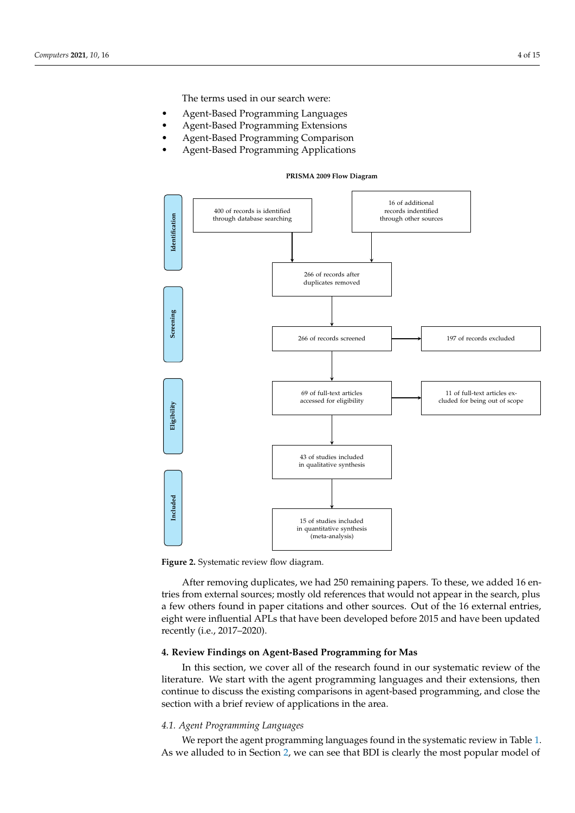The terms used in our search were:

- Agent-Based Programming Languages
- Agent-Based Programming Extensions
- Agent-Based Programming Comparison
- <span id="page-3-1"></span>• Agent-Based Programming Applications

#### **PRISMA 2009 Flow Diagram**



**Figure 2.** Systematic review flow diagram.

After removing duplicates, we had 250 remaining papers. To these, we added 16 entries from external sources; mostly old references that would not appear in the search, plus a few others found in paper citations and other sources. Out of the 16 external entries, eight were influential APLs that have been developed before 2015 and have been updated recently (i.e., 2017–2020).

## <span id="page-3-0"></span>**4. Review Findings on Agent-Based Programming for Mas**

In this section, we cover all of the research found in our systematic review of the literature. We start with the agent programming languages and their extensions, then continue to discuss the existing comparisons in agent-based programming, and close the section with a brief review of applications in the area.

# *4.1. Agent Programming Languages*

We report the agent programming languages found in the systematic review in Table [1.](#page-4-0) As we alluded to in Section [2,](#page-1-0) we can see that BDI is clearly the most popular model of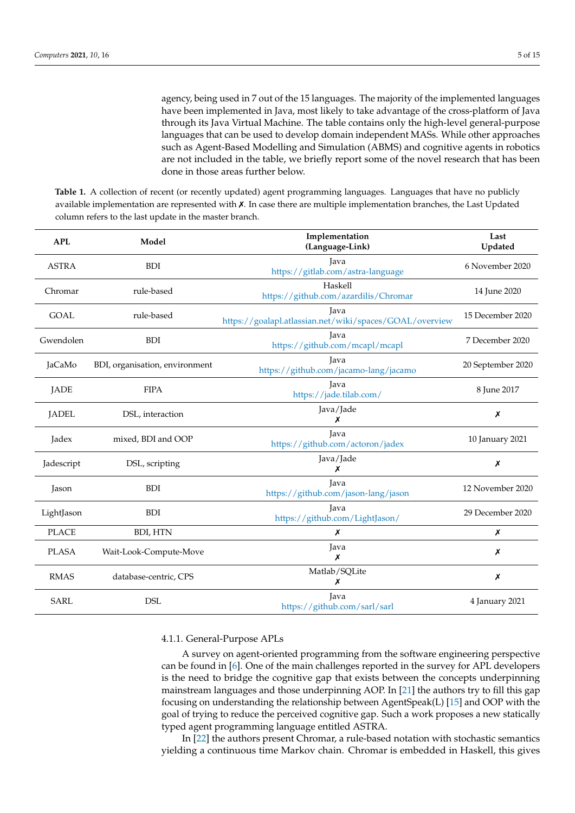agency, being used in 7 out of the 15 languages. The majority of the implemented languages have been implemented in Java, most likely to take advantage of the cross-platform of Java through its Java Virtual Machine. The table contains only the high-level general-purpose languages that can be used to develop domain independent MASs. While other approaches such as Agent-Based Modelling and Simulation (ABMS) and cognitive agents in robotics are not included in the table, we briefly report some of the novel research that has been done in those areas further below.

<span id="page-4-0"></span>**Table 1.** A collection of recent (or recently updated) agent programming languages. Languages that have no publicly available implementation are represented with ✗. In case there are multiple implementation branches, the Last Updated column refers to the last update in the master branch.

| <b>APL</b>   | Model                          | Implementation<br>(Language-Link)                               | Last<br>Updated   |
|--------------|--------------------------------|-----------------------------------------------------------------|-------------------|
| <b>ASTRA</b> | <b>BDI</b>                     | Java<br>https://gitlab.com/astra-language                       | 6 November 2020   |
| Chromar      | rule-based                     | Haskell<br>https://github.com/azardilis/Chromar                 | 14 June 2020      |
| <b>GOAL</b>  | rule-based                     | Java<br>https://goalapl.atlassian.net/wiki/spaces/GOAL/overview | 15 December 2020  |
| Gwendolen    | <b>BDI</b>                     | Java<br>https://github.com/mcapl/mcapl                          | 7 December 2020   |
| JaCaMo       | BDI, organisation, environment | Java<br>https://github.com/jacamo-lang/jacamo                   | 20 September 2020 |
| <b>JADE</b>  | <b>FIPA</b>                    | Java<br>https://jade.tilab.com/                                 | 8 June 2017       |
| <b>JADEL</b> | DSL, interaction               | Java/Jade<br>Х                                                  | Х                 |
| Jadex        | mixed, BDI and OOP             | Java<br>https://github.com/actoron/jadex                        | 10 January 2021   |
| Jadescript   | DSL, scripting                 | Java/Jade<br>х                                                  | Х                 |
| Jason        | <b>BDI</b>                     | <b>Java</b><br>https://github.com/jason-lang/jason              | 12 November 2020  |
| LightJason   | <b>BDI</b>                     | Java<br>https://github.com/LightJason/                          | 29 December 2020  |
| <b>PLACE</b> | <b>BDI, HTN</b>                | Х                                                               | Х                 |
| <b>PLASA</b> | Wait-Look-Compute-Move         | Java<br>Х                                                       | Х                 |
| <b>RMAS</b>  | database-centric, CPS          | Matlab/SQLite<br>х                                              | Х                 |
| <b>SARL</b>  | <b>DSL</b>                     | Java<br>https://github.com/sarl/sarl                            | 4 January 2021    |

4.1.1. General-Purpose APLs

A survey on agent-oriented programming from the software engineering perspective can be found in [\[6\]](#page-11-6). One of the main challenges reported in the survey for APL developers is the need to bridge the cognitive gap that exists between the concepts underpinning mainstream languages and those underpinning AOP. In [\[21\]](#page-11-19) the authors try to fill this gap focusing on understanding the relationship between AgentSpeak(L) [\[15\]](#page-11-13) and OOP with the goal of trying to reduce the perceived cognitive gap. Such a work proposes a new statically typed agent programming language entitled ASTRA.

In [\[22\]](#page-11-20) the authors present Chromar, a rule-based notation with stochastic semantics yielding a continuous time Markov chain. Chromar is embedded in Haskell, this gives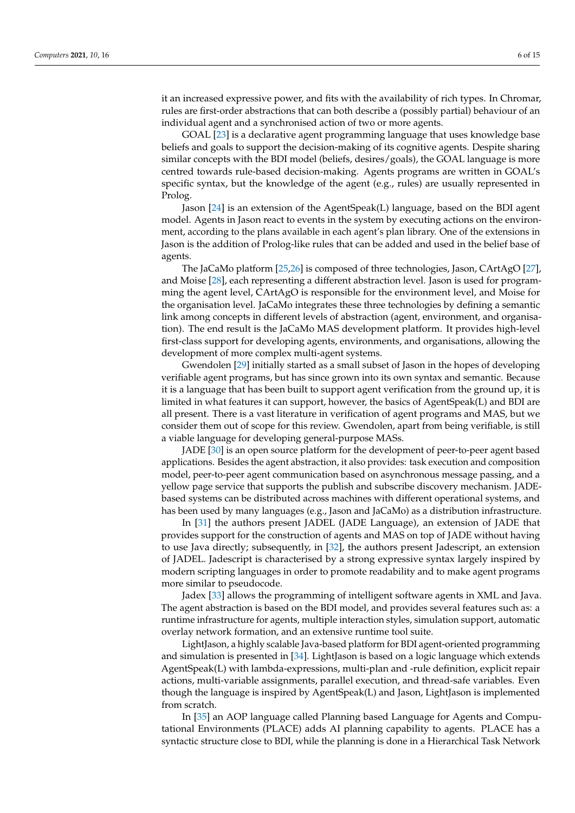it an increased expressive power, and fits with the availability of rich types. In Chromar, rules are first-order abstractions that can both describe a (possibly partial) behaviour of an individual agent and a synchronised action of two or more agents.

GOAL [\[23\]](#page-11-21) is a declarative agent programming language that uses knowledge base beliefs and goals to support the decision-making of its cognitive agents. Despite sharing similar concepts with the BDI model (beliefs, desires/goals), the GOAL language is more centred towards rule-based decision-making. Agents programs are written in GOAL's specific syntax, but the knowledge of the agent (e.g., rules) are usually represented in Prolog.

Jason [\[24\]](#page-11-22) is an extension of the AgentSpeak(L) language, based on the BDI agent model. Agents in Jason react to events in the system by executing actions on the environment, according to the plans available in each agent's plan library. One of the extensions in Jason is the addition of Prolog-like rules that can be added and used in the belief base of agents.

The JaCaMo platform [\[25](#page-11-23)[,26\]](#page-12-0) is composed of three technologies, Jason, CArtAgO [\[27\]](#page-12-1), and Moise [\[28\]](#page-12-2), each representing a different abstraction level. Jason is used for programming the agent level, CArtAgO is responsible for the environment level, and Moise for the organisation level. JaCaMo integrates these three technologies by defining a semantic link among concepts in different levels of abstraction (agent, environment, and organisation). The end result is the JaCaMo MAS development platform. It provides high-level first-class support for developing agents, environments, and organisations, allowing the development of more complex multi-agent systems.

Gwendolen [\[29\]](#page-12-3) initially started as a small subset of Jason in the hopes of developing verifiable agent programs, but has since grown into its own syntax and semantic. Because it is a language that has been built to support agent verification from the ground up, it is limited in what features it can support, however, the basics of AgentSpeak(L) and BDI are all present. There is a vast literature in verification of agent programs and MAS, but we consider them out of scope for this review. Gwendolen, apart from being verifiable, is still a viable language for developing general-purpose MASs.

JADE [\[30\]](#page-12-4) is an open source platform for the development of peer-to-peer agent based applications. Besides the agent abstraction, it also provides: task execution and composition model, peer-to-peer agent communication based on asynchronous message passing, and a yellow page service that supports the publish and subscribe discovery mechanism. JADEbased systems can be distributed across machines with different operational systems, and has been used by many languages (e.g., Jason and JaCaMo) as a distribution infrastructure.

In [\[31\]](#page-12-5) the authors present JADEL (JADE Language), an extension of JADE that provides support for the construction of agents and MAS on top of JADE without having to use Java directly; subsequently, in [\[32\]](#page-12-6), the authors present Jadescript, an extension of JADEL. Jadescript is characterised by a strong expressive syntax largely inspired by modern scripting languages in order to promote readability and to make agent programs more similar to pseudocode.

Jadex [\[33\]](#page-12-7) allows the programming of intelligent software agents in XML and Java. The agent abstraction is based on the BDI model, and provides several features such as: a runtime infrastructure for agents, multiple interaction styles, simulation support, automatic overlay network formation, and an extensive runtime tool suite.

LightJason, a highly scalable Java-based platform for BDI agent-oriented programming and simulation is presented in [\[34\]](#page-12-8). LightJason is based on a logic language which extends AgentSpeak(L) with lambda-expressions, multi-plan and -rule definition, explicit repair actions, multi-variable assignments, parallel execution, and thread-safe variables. Even though the language is inspired by AgentSpeak(L) and Jason, LightJason is implemented from scratch.

In [\[35\]](#page-12-9) an AOP language called Planning based Language for Agents and Computational Environments (PLACE) adds AI planning capability to agents. PLACE has a syntactic structure close to BDI, while the planning is done in a Hierarchical Task Network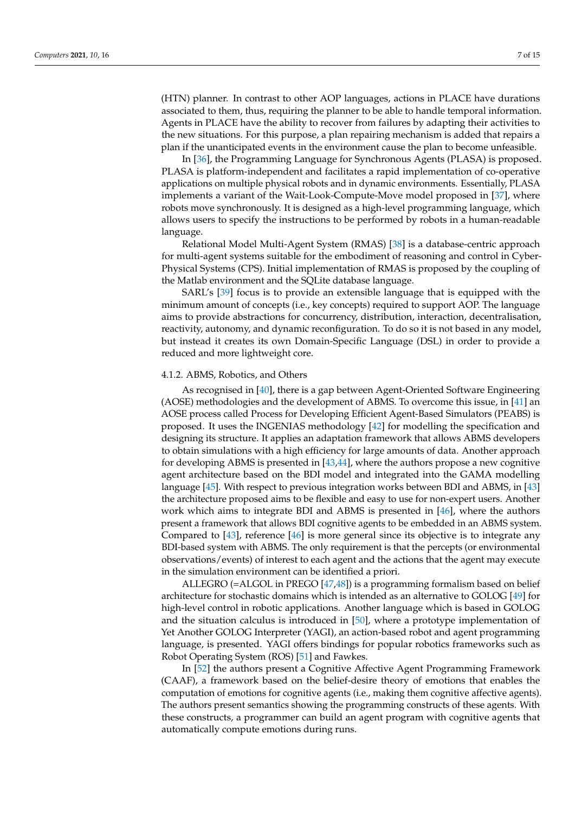(HTN) planner. In contrast to other AOP languages, actions in PLACE have durations associated to them, thus, requiring the planner to be able to handle temporal information. Agents in PLACE have the ability to recover from failures by adapting their activities to the new situations. For this purpose, a plan repairing mechanism is added that repairs a plan if the unanticipated events in the environment cause the plan to become unfeasible.

In [\[36\]](#page-12-10), the Programming Language for Synchronous Agents (PLASA) is proposed. PLASA is platform-independent and facilitates a rapid implementation of co-operative applications on multiple physical robots and in dynamic environments. Essentially, PLASA implements a variant of the Wait-Look-Compute-Move model proposed in [\[37\]](#page-12-11), where robots move synchronously. It is designed as a high-level programming language, which allows users to specify the instructions to be performed by robots in a human-readable language.

Relational Model Multi-Agent System (RMAS) [\[38\]](#page-12-12) is a database-centric approach for multi-agent systems suitable for the embodiment of reasoning and control in Cyber-Physical Systems (CPS). Initial implementation of RMAS is proposed by the coupling of the Matlab environment and the SQLite database language.

SARL's [\[39\]](#page-12-13) focus is to provide an extensible language that is equipped with the minimum amount of concepts (i.e., key concepts) required to support AOP. The language aims to provide abstractions for concurrency, distribution, interaction, decentralisation, reactivity, autonomy, and dynamic reconfiguration. To do so it is not based in any model, but instead it creates its own Domain-Specific Language (DSL) in order to provide a reduced and more lightweight core.

## 4.1.2. ABMS, Robotics, and Others

As recognised in [\[40\]](#page-12-14), there is a gap between Agent-Oriented Software Engineering (AOSE) methodologies and the development of ABMS. To overcome this issue, in [\[41\]](#page-12-15) an AOSE process called Process for Developing Efficient Agent-Based Simulators (PEABS) is proposed. It uses the INGENIAS methodology [\[42\]](#page-12-16) for modelling the specification and designing its structure. It applies an adaptation framework that allows ABMS developers to obtain simulations with a high efficiency for large amounts of data. Another approach for developing ABMS is presented in [\[43,](#page-12-17)[44\]](#page-12-18), where the authors propose a new cognitive agent architecture based on the BDI model and integrated into the GAMA modelling language [\[45\]](#page-12-19). With respect to previous integration works between BDI and ABMS, in [\[43\]](#page-12-17) the architecture proposed aims to be flexible and easy to use for non-expert users. Another work which aims to integrate BDI and ABMS is presented in [\[46\]](#page-12-20), where the authors present a framework that allows BDI cognitive agents to be embedded in an ABMS system. Compared to [\[43\]](#page-12-17), reference [\[46\]](#page-12-20) is more general since its objective is to integrate any BDI-based system with ABMS. The only requirement is that the percepts (or environmental observations/events) of interest to each agent and the actions that the agent may execute in the simulation environment can be identified a priori.

ALLEGRO (=ALGOL in PREGO [\[47,](#page-12-21)[48\]](#page-12-22)) is a programming formalism based on belief architecture for stochastic domains which is intended as an alternative to GOLOG [\[49\]](#page-12-23) for high-level control in robotic applications. Another language which is based in GOLOG and the situation calculus is introduced in [\[50\]](#page-13-0), where a prototype implementation of Yet Another GOLOG Interpreter (YAGI), an action-based robot and agent programming language, is presented. YAGI offers bindings for popular robotics frameworks such as Robot Operating System (ROS) [\[51\]](#page-13-1) and Fawkes.

In [\[52\]](#page-13-2) the authors present a Cognitive Affective Agent Programming Framework (CAAF), a framework based on the belief-desire theory of emotions that enables the computation of emotions for cognitive agents (i.e., making them cognitive affective agents). The authors present semantics showing the programming constructs of these agents. With these constructs, a programmer can build an agent program with cognitive agents that automatically compute emotions during runs.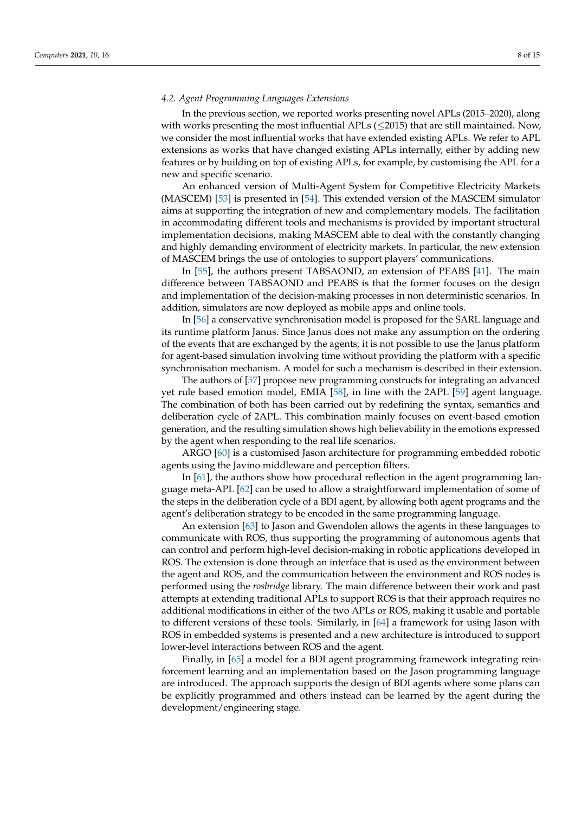## *4.2. Agent Programming Languages Extensions*

In the previous section, we reported works presenting novel APLs (2015–2020), along with works presenting the most influential APLs  $(\leq 2015)$  that are still maintained. Now, we consider the most influential works that have extended existing APLs. We refer to APL extensions as works that have changed existing APLs internally, either by adding new features or by building on top of existing APLs, for example, by customising the APL for a new and specific scenario.

An enhanced version of Multi-Agent System for Competitive Electricity Markets (MASCEM) [\[53\]](#page-13-3) is presented in [\[54\]](#page-13-4). This extended version of the MASCEM simulator aims at supporting the integration of new and complementary models. The facilitation in accommodating different tools and mechanisms is provided by important structural implementation decisions, making MASCEM able to deal with the constantly changing and highly demanding environment of electricity markets. In particular, the new extension of MASCEM brings the use of ontologies to support players' communications.

In [\[55\]](#page-13-5), the authors present TABSAOND, an extension of PEABS [\[41\]](#page-12-15). The main difference between TABSAOND and PEABS is that the former focuses on the design and implementation of the decision-making processes in non deterministic scenarios. In addition, simulators are now deployed as mobile apps and online tools.

In [\[56\]](#page-13-6) a conservative synchronisation model is proposed for the SARL language and its runtime platform Janus. Since Janus does not make any assumption on the ordering of the events that are exchanged by the agents, it is not possible to use the Janus platform for agent-based simulation involving time without providing the platform with a specific synchronisation mechanism. A model for such a mechanism is described in their extension.

The authors of [\[57\]](#page-13-7) propose new programming constructs for integrating an advanced yet rule based emotion model, EMIA [\[58\]](#page-13-8), in line with the 2APL [\[59\]](#page-13-9) agent language. The combination of both has been carried out by redefining the syntax, semantics and deliberation cycle of 2APL. This combination mainly focuses on event-based emotion generation, and the resulting simulation shows high believability in the emotions expressed by the agent when responding to the real life scenarios.

ARGO [\[60\]](#page-13-10) is a customised Jason architecture for programming embedded robotic agents using the Javino middleware and perception filters.

In [\[61\]](#page-13-11), the authors show how procedural reflection in the agent programming language meta-APL [\[62\]](#page-13-12) can be used to allow a straightforward implementation of some of the steps in the deliberation cycle of a BDI agent, by allowing both agent programs and the agent's deliberation strategy to be encoded in the same programming language.

An extension [\[63\]](#page-13-13) to Jason and Gwendolen allows the agents in these languages to communicate with ROS, thus supporting the programming of autonomous agents that can control and perform high-level decision-making in robotic applications developed in ROS. The extension is done through an interface that is used as the environment between the agent and ROS, and the communication between the environment and ROS nodes is performed using the *rosbridge* library. The main difference between their work and past attempts at extending traditional APLs to support ROS is that their approach requires no additional modifications in either of the two APLs or ROS, making it usable and portable to different versions of these tools. Similarly, in [\[64\]](#page-13-14) a framework for using Jason with ROS in embedded systems is presented and a new architecture is introduced to support lower-level interactions between ROS and the agent.

Finally, in [\[65\]](#page-13-15) a model for a BDI agent programming framework integrating reinforcement learning and an implementation based on the Jason programming language are introduced. The approach supports the design of BDI agents where some plans can be explicitly programmed and others instead can be learned by the agent during the development/engineering stage.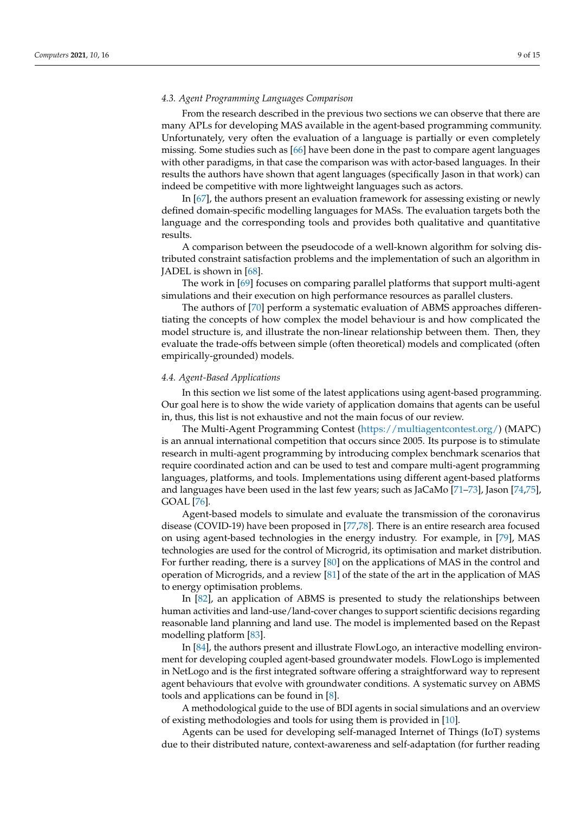## *4.3. Agent Programming Languages Comparison*

From the research described in the previous two sections we can observe that there are many APLs for developing MAS available in the agent-based programming community. Unfortunately, very often the evaluation of a language is partially or even completely missing. Some studies such as [\[66\]](#page-13-16) have been done in the past to compare agent languages with other paradigms, in that case the comparison was with actor-based languages. In their results the authors have shown that agent languages (specifically Jason in that work) can indeed be competitive with more lightweight languages such as actors.

In [\[67\]](#page-13-17), the authors present an evaluation framework for assessing existing or newly defined domain-specific modelling languages for MASs. The evaluation targets both the language and the corresponding tools and provides both qualitative and quantitative results.

A comparison between the pseudocode of a well-known algorithm for solving distributed constraint satisfaction problems and the implementation of such an algorithm in JADEL is shown in [\[68\]](#page-13-18).

The work in [\[69\]](#page-13-19) focuses on comparing parallel platforms that support multi-agent simulations and their execution on high performance resources as parallel clusters.

The authors of [\[70\]](#page-13-20) perform a systematic evaluation of ABMS approaches differentiating the concepts of how complex the model behaviour is and how complicated the model structure is, and illustrate the non-linear relationship between them. Then, they evaluate the trade-offs between simple (often theoretical) models and complicated (often empirically-grounded) models.

## <span id="page-8-0"></span>*4.4. Agent-Based Applications*

In this section we list some of the latest applications using agent-based programming. Our goal here is to show the wide variety of application domains that agents can be useful in, thus, this list is not exhaustive and not the main focus of our review.

The Multi-Agent Programming Contest [\(https://multiagentcontest.org/\)](https://multiagentcontest.org/) (MAPC) is an annual international competition that occurs since 2005. Its purpose is to stimulate research in multi-agent programming by introducing complex benchmark scenarios that require coordinated action and can be used to test and compare multi-agent programming languages, platforms, and tools. Implementations using different agent-based platforms and languages have been used in the last few years; such as JaCaMo [\[71–](#page-13-21)[73\]](#page-13-22), Jason [\[74](#page-13-23)[,75\]](#page-14-0), GOAL [\[76\]](#page-14-1).

Agent-based models to simulate and evaluate the transmission of the coronavirus disease (COVID-19) have been proposed in [\[77](#page-14-2)[,78\]](#page-14-3). There is an entire research area focused on using agent-based technologies in the energy industry. For example, in [\[79\]](#page-14-4), MAS technologies are used for the control of Microgrid, its optimisation and market distribution. For further reading, there is a survey [\[80\]](#page-14-5) on the applications of MAS in the control and operation of Microgrids, and a review [\[81\]](#page-14-6) of the state of the art in the application of MAS to energy optimisation problems.

In [\[82\]](#page-14-7), an application of ABMS is presented to study the relationships between human activities and land-use/land-cover changes to support scientific decisions regarding reasonable land planning and land use. The model is implemented based on the Repast modelling platform [\[83\]](#page-14-8).

In [\[84\]](#page-14-9), the authors present and illustrate FlowLogo, an interactive modelling environment for developing coupled agent-based groundwater models. FlowLogo is implemented in NetLogo and is the first integrated software offering a straightforward way to represent agent behaviours that evolve with groundwater conditions. A systematic survey on ABMS tools and applications can be found in [\[8\]](#page-11-8).

A methodological guide to the use of BDI agents in social simulations and an overview of existing methodologies and tools for using them is provided in [\[10\]](#page-11-5).

Agents can be used for developing self-managed Internet of Things (IoT) systems due to their distributed nature, context-awareness and self-adaptation (for further reading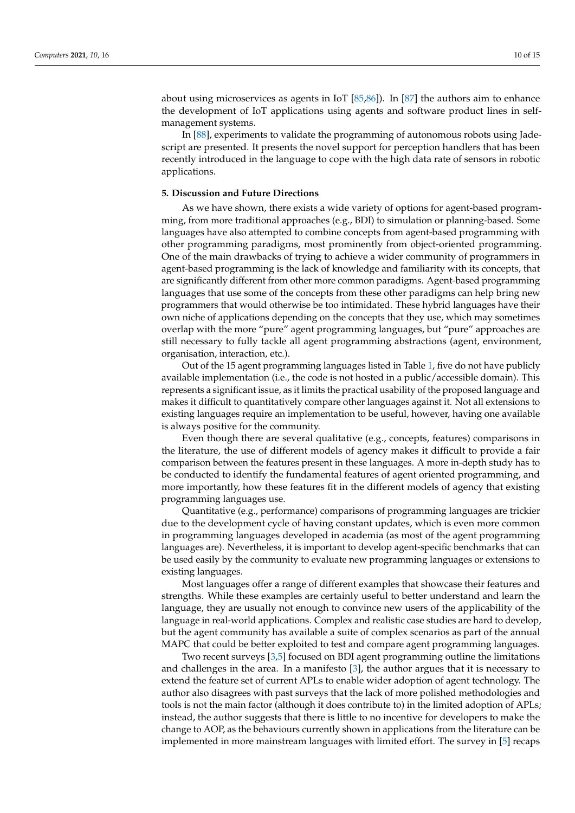about using microservices as agents in IoT [\[85](#page-14-10)[,86\]](#page-14-11)). In [\[87\]](#page-14-12) the authors aim to enhance the development of IoT applications using agents and software product lines in selfmanagement systems.

In [\[88\]](#page-14-13), experiments to validate the programming of autonomous robots using Jadescript are presented. It presents the novel support for perception handlers that has been recently introduced in the language to cope with the high data rate of sensors in robotic applications.

## <span id="page-9-0"></span>**5. Discussion and Future Directions**

As we have shown, there exists a wide variety of options for agent-based programming, from more traditional approaches (e.g., BDI) to simulation or planning-based. Some languages have also attempted to combine concepts from agent-based programming with other programming paradigms, most prominently from object-oriented programming. One of the main drawbacks of trying to achieve a wider community of programmers in agent-based programming is the lack of knowledge and familiarity with its concepts, that are significantly different from other more common paradigms. Agent-based programming languages that use some of the concepts from these other paradigms can help bring new programmers that would otherwise be too intimidated. These hybrid languages have their own niche of applications depending on the concepts that they use, which may sometimes overlap with the more "pure" agent programming languages, but "pure" approaches are still necessary to fully tackle all agent programming abstractions (agent, environment, organisation, interaction, etc.).

Out of the 15 agent programming languages listed in Table [1,](#page-4-0) five do not have publicly available implementation (i.e., the code is not hosted in a public/accessible domain). This represents a significant issue, as it limits the practical usability of the proposed language and makes it difficult to quantitatively compare other languages against it. Not all extensions to existing languages require an implementation to be useful, however, having one available is always positive for the community.

Even though there are several qualitative (e.g., concepts, features) comparisons in the literature, the use of different models of agency makes it difficult to provide a fair comparison between the features present in these languages. A more in-depth study has to be conducted to identify the fundamental features of agent oriented programming, and more importantly, how these features fit in the different models of agency that existing programming languages use.

Quantitative (e.g., performance) comparisons of programming languages are trickier due to the development cycle of having constant updates, which is even more common in programming languages developed in academia (as most of the agent programming languages are). Nevertheless, it is important to develop agent-specific benchmarks that can be used easily by the community to evaluate new programming languages or extensions to existing languages.

Most languages offer a range of different examples that showcase their features and strengths. While these examples are certainly useful to better understand and learn the language, they are usually not enough to convince new users of the applicability of the language in real-world applications. Complex and realistic case studies are hard to develop, but the agent community has available a suite of complex scenarios as part of the annual MAPC that could be better exploited to test and compare agent programming languages.

Two recent surveys [\[3](#page-11-2)[,5\]](#page-11-4) focused on BDI agent programming outline the limitations and challenges in the area. In a manifesto [\[3\]](#page-11-2), the author argues that it is necessary to extend the feature set of current APLs to enable wider adoption of agent technology. The author also disagrees with past surveys that the lack of more polished methodologies and tools is not the main factor (although it does contribute to) in the limited adoption of APLs; instead, the author suggests that there is little to no incentive for developers to make the change to AOP, as the behaviours currently shown in applications from the literature can be implemented in more mainstream languages with limited effort. The survey in [\[5\]](#page-11-4) recaps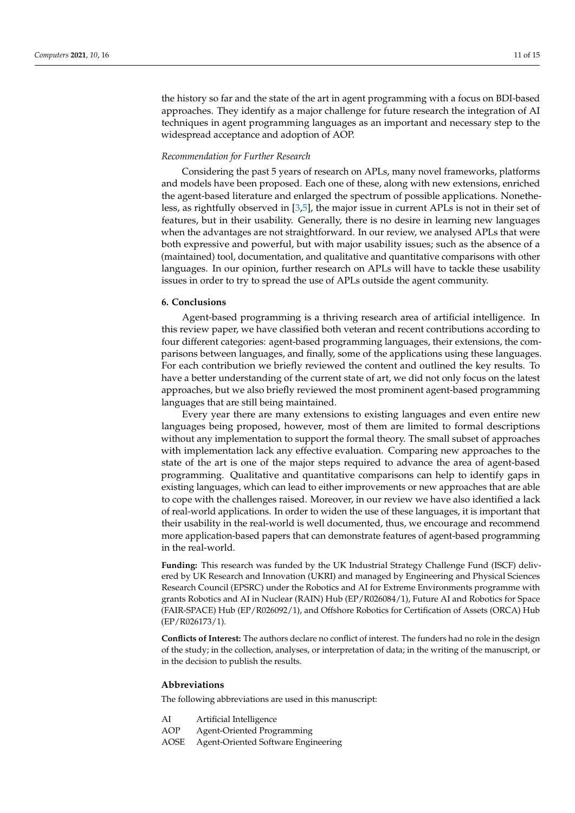the history so far and the state of the art in agent programming with a focus on BDI-based approaches. They identify as a major challenge for future research the integration of AI techniques in agent programming languages as an important and necessary step to the widespread acceptance and adoption of AOP.

## *Recommendation for Further Research*

Considering the past 5 years of research on APLs, many novel frameworks, platforms and models have been proposed. Each one of these, along with new extensions, enriched the agent-based literature and enlarged the spectrum of possible applications. Nonetheless, as rightfully observed in [\[3](#page-11-2)[,5\]](#page-11-4), the major issue in current APLs is not in their set of features, but in their usability. Generally, there is no desire in learning new languages when the advantages are not straightforward. In our review, we analysed APLs that were both expressive and powerful, but with major usability issues; such as the absence of a (maintained) tool, documentation, and qualitative and quantitative comparisons with other languages. In our opinion, further research on APLs will have to tackle these usability issues in order to try to spread the use of APLs outside the agent community.

## <span id="page-10-0"></span>**6. Conclusions**

Agent-based programming is a thriving research area of artificial intelligence. In this review paper, we have classified both veteran and recent contributions according to four different categories: agent-based programming languages, their extensions, the comparisons between languages, and finally, some of the applications using these languages. For each contribution we briefly reviewed the content and outlined the key results. To have a better understanding of the current state of art, we did not only focus on the latest approaches, but we also briefly reviewed the most prominent agent-based programming languages that are still being maintained.

Every year there are many extensions to existing languages and even entire new languages being proposed, however, most of them are limited to formal descriptions without any implementation to support the formal theory. The small subset of approaches with implementation lack any effective evaluation. Comparing new approaches to the state of the art is one of the major steps required to advance the area of agent-based programming. Qualitative and quantitative comparisons can help to identify gaps in existing languages, which can lead to either improvements or new approaches that are able to cope with the challenges raised. Moreover, in our review we have also identified a lack of real-world applications. In order to widen the use of these languages, it is important that their usability in the real-world is well documented, thus, we encourage and recommend more application-based papers that can demonstrate features of agent-based programming in the real-world.

**Funding:** This research was funded by the UK Industrial Strategy Challenge Fund (ISCF) delivered by UK Research and Innovation (UKRI) and managed by Engineering and Physical Sciences Research Council (EPSRC) under the Robotics and AI for Extreme Environments programme with grants Robotics and AI in Nuclear (RAIN) Hub (EP/R026084/1), Future AI and Robotics for Space (FAIR-SPACE) Hub (EP/R026092/1), and Offshore Robotics for Certification of Assets (ORCA) Hub (EP/R026173/1).

**Conflicts of Interest:** The authors declare no conflict of interest. The funders had no role in the design of the study; in the collection, analyses, or interpretation of data; in the writing of the manuscript, or in the decision to publish the results.

#### **Abbreviations**

The following abbreviations are used in this manuscript:

| Artificial Intelligence |
|-------------------------|
|                         |

AOP Agent-Oriented Programming

AOSE Agent-Oriented Software Engineering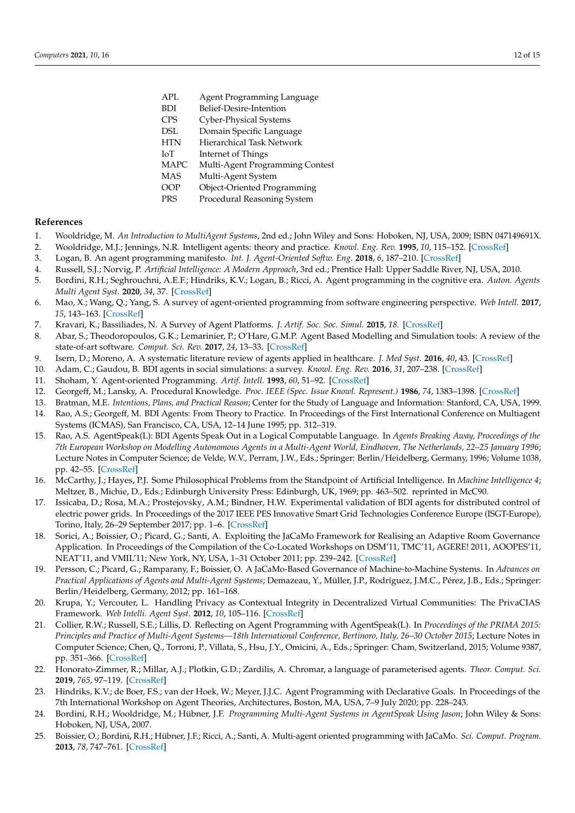- APL Agent Programming Language
- BDI Belief-Desire-Intention
- CPS Cyber-Physical Systems
- DSL Domain Specific Language
- HTN Hierarchical Task Network
- IoT Internet of Things
- MAPC Multi-Agent Programming Contest
- MAS Multi-Agent System
- OOP Object-Oriented Programming
- PRS Procedural Reasoning System

#### **References**

- <span id="page-11-0"></span>1. Wooldridge, M. *An Introduction to MultiAgent Systems*, 2nd ed.; John Wiley and Sons: Hoboken, NJ, USA, 2009; ISBN 047149691X.
- <span id="page-11-1"></span>2. Wooldridge, M.J.; Jennings, N.R. Intelligent agents: theory and practice. *Knowl. Eng. Rev.* **1995**, *10*, 115–152. [\[CrossRef\]](http://dx.doi.org/10.1017/S0269888900008122)
- <span id="page-11-2"></span>3. Logan, B. An agent programming manifesto. *Int. J. Agent-Oriented Softw. Eng.* **2018**, *6*, 187–210. [\[CrossRef\]](http://dx.doi.org/10.1504/IJAOSE.2018.094374)
- <span id="page-11-3"></span>4. Russell, S.J.; Norvig, P. *Artificial Intelligence: A Modern Approach*, 3rd ed.; Prentice Hall: Upper Saddle River, NJ, USA, 2010.
- <span id="page-11-4"></span>5. Bordini, R.H.; Seghrouchni, A.E.F.; Hindriks, K.V.; Logan, B.; Ricci, A. Agent programming in the cognitive era. *Auton. Agents Multi Agent Syst.* **2020**, *34*, 37. [\[CrossRef\]](http://dx.doi.org/10.1007/s10458-020-09453-y)
- <span id="page-11-6"></span>6. Mao, X.; Wang, Q.; Yang, S. A survey of agent-oriented programming from software engineering perspective. *Web Intell.* **2017**, *15*, 143–163. [\[CrossRef\]](http://dx.doi.org/10.3233/WEB-170357)
- <span id="page-11-7"></span>7. Kravari, K.; Bassiliades, N. A Survey of Agent Platforms. *J. Artif. Soc. Soc. Simul.* **2015**, *18*. [\[CrossRef\]](http://dx.doi.org/10.18564/jasss.2661)
- <span id="page-11-8"></span>8. Abar, S.; Theodoropoulos, G.K.; Lemarinier, P.; O'Hare, G.M.P. Agent Based Modelling and Simulation tools: A review of the state-of-art software. *Comput. Sci. Rev.* **2017**, *24*, 13–33. [\[CrossRef\]](http://dx.doi.org/10.1016/j.cosrev.2017.03.001)
- 9. Isern, D.; Moreno, A. A systematic literature review of agents applied in healthcare. *J. Med Syst.* **2016**, *40*, 43. [\[CrossRef\]](http://dx.doi.org/10.1007/s10916-015-0376-2)
- <span id="page-11-5"></span>10. Adam, C.; Gaudou, B. BDI agents in social simulations: a survey. *Knowl. Eng. Rev.* **2016**, *31*, 207–238. [\[CrossRef\]](http://dx.doi.org/10.1017/S0269888916000096)
- <span id="page-11-9"></span>11. Shoham, Y. Agent-oriented Programming. *Artif. Intell.* **1993**, *60*, 51–92. [\[CrossRef\]](http://dx.doi.org/10.1016/0004-3702(93)90034-9)
- <span id="page-11-10"></span>12. Georgeff, M.; Lansky, A. Procedural Knowledge. *Proc. IEEE (Spec. Issue Knowl. Represent.)* **1986**, *74*, 1383–1398. [\[CrossRef\]](http://dx.doi.org/10.1109/PROC.1986.13639)
- <span id="page-11-11"></span>13. Bratman, M.E. *Intentions, Plans, and Practical Reason*; Center for the Study of Language and Information: Stanford, CA, USA, 1999.
- <span id="page-11-12"></span>14. Rao, A.S.; Georgeff, M. BDI Agents: From Theory to Practice. In Proceedings of the First International Conference on Multiagent Systems (ICMAS), San Francisco, CA, USA, 12–14 June 1995; pp. 312–319.
- <span id="page-11-13"></span>15. Rao, A.S. AgentSpeak(L): BDI Agents Speak Out in a Logical Computable Language. In *Agents Breaking Away, Proceedings of the 7th European Workshop on Modelling Autonomous Agents in a Multi-Agent World, Eindhoven, The Netherlands, 22–25 January 1996*; Lecture Notes in Computer Science; de Velde, W.V., Perram, J.W., Eds.; Springer: Berlin/Heidelberg, Germany, 1996; Volume 1038, pp. 42–55. [\[CrossRef\]](http://dx.doi.org/10.1007/BFb0031845)
- <span id="page-11-14"></span>16. McCarthy, J.; Hayes, P.J. Some Philosophical Problems from the Standpoint of Artificial Intelligence. In *Machine Intelligence 4*; Meltzer, B., Michie, D., Eds.; Edinburgh University Press: Edinburgh, UK, 1969; pp. 463–502. reprinted in McC90.
- <span id="page-11-15"></span>17. Issicaba, D.; Rosa, M.A.; Prostejovsky, A.M.; Bindner, H.W. Experimental validation of BDI agents for distributed control of electric power grids. In Proceedings of the 2017 IEEE PES Innovative Smart Grid Technologies Conference Europe (ISGT-Europe), Torino, Italy, 26–29 September 2017; pp. 1–6. [\[CrossRef\]](http://dx.doi.org/10.1109/ISGTEurope.2017.8260273)
- <span id="page-11-16"></span>18. Sorici, A.; Boissier, O.; Picard, G.; Santi, A. Exploiting the JaCaMo Framework for Realising an Adaptive Room Governance Application. In Proceedings of the Compilation of the Co-Located Workshops on DSM'11, TMC'11, AGERE! 2011, AOOPES'11, NEAT'11, and VMIL'11; New York, NY, USA, 1–31 October 2011; pp. 239–242. [\[CrossRef\]](http://dx.doi.org/10.1145/2095050.2095088)
- <span id="page-11-17"></span>19. Persson, C.; Picard, G.; Ramparany, F.; Boissier, O. A JaCaMo-Based Governance of Machine-to-Machine Systems. In *Advances on Practical Applications of Agents and Multi-Agent Systems*; Demazeau, Y., Müller, J.P., Rodríguez, J.M.C., Pérez, J.B., Eds.; Springer: Berlin/Heidelberg, Germany, 2012; pp. 161–168.
- <span id="page-11-18"></span>20. Krupa, Y.; Vercouter, L. Handling Privacy as Contextual Integrity in Decentralized Virtual Communities: The PrivaCIAS Framework. *Web Intelli. Agent Syst.* **2012**, *10*, 105–116. [\[CrossRef\]](http://dx.doi.org/10.3233/WIA-2012-0235)
- <span id="page-11-19"></span>21. Collier, R.W.; Russell, S.E.; Lillis, D. Reflecting on Agent Programming with AgentSpeak(L). In *Proceedings of the PRIMA 2015: Principles and Practice of Multi-Agent Systems—18th International Conference, Bertinoro, Italy, 26–30 October 2015*; Lecture Notes in Computer Science; Chen, Q., Torroni, P., Villata, S., Hsu, J.Y., Omicini, A., Eds.; Springer: Cham, Switzerland, 2015; Volume 9387, pp. 351–366. [\[CrossRef\]](http://dx.doi.org/10.1007/978-3-319-25524-8_22)
- <span id="page-11-20"></span>22. Honorato-Zimmer, R.; Millar, A.J.; Plotkin, G.D.; Zardilis, A. Chromar, a language of parameterised agents. *Theor. Comput. Sci.* **2019**, *765*, 97–119. [\[CrossRef\]](http://dx.doi.org/10.1016/j.tcs.2017.07.034)
- <span id="page-11-21"></span>23. Hindriks, K.V.; de Boer, F.S.; van der Hoek, W.; Meyer, J.J.C. Agent Programming with Declarative Goals. In Proceedings of the 7th International Workshop on Agent Theories, Architectures, Boston, MA, USA, 7–9 July 2020; pp. 228–243.
- <span id="page-11-22"></span>24. Bordini, R.H.; Wooldridge, M.; Hübner, J.F. *Programming Multi-Agent Systems in AgentSpeak Using Jason*; John Wiley & Sons: Hoboken, NJ, USA, 2007.
- <span id="page-11-23"></span>25. Boissier, O.; Bordini, R.H.; Hübner, J.F.; Ricci, A.; Santi, A. Multi-agent oriented programming with JaCaMo. *Sci. Comput. Program.* **2013**, *78*, 747–761. [\[CrossRef\]](http://dx.doi.org/10.1016/j.scico.2011.10.004)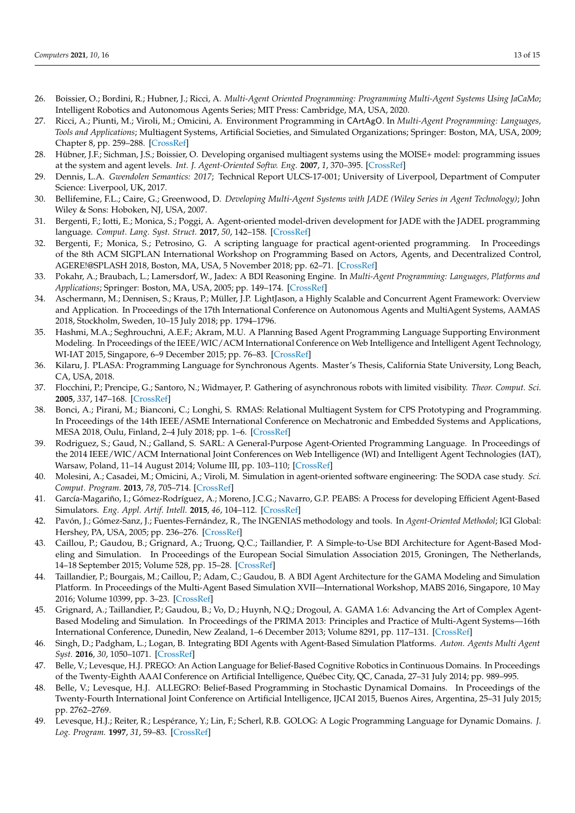- <span id="page-12-0"></span>26. Boissier, O.; Bordini, R.; Hubner, J.; Ricci, A. *Multi-Agent Oriented Programming: Programming Multi-Agent Systems Using JaCaMo*; Intelligent Robotics and Autonomous Agents Series; MIT Press: Cambridge, MA, USA, 2020.
- <span id="page-12-1"></span>27. Ricci, A.; Piunti, M.; Viroli, M.; Omicini, A. Environment Programming in CArtAgO. In *Multi-Agent Programming: Languages, Tools and Applications*; Multiagent Systems, Artificial Societies, and Simulated Organizations; Springer: Boston, MA, USA, 2009; Chapter 8, pp. 259–288. [\[CrossRef\]](http://dx.doi.org/10.1007/978-0-387-89299-3_8)
- <span id="page-12-2"></span>28. Hübner, J.F.; Sichman, J.S.; Boissier, O. Developing organised multiagent systems using the MOISE+ model: programming issues at the system and agent levels. *Int. J. Agent-Oriented Softw. Eng.* **2007**, *1*, 370–395. [\[CrossRef\]](http://dx.doi.org/10.1504/IJAOSE.2007.016266)
- <span id="page-12-3"></span>29. Dennis, L.A. *Gwendolen Semantics: 2017*; Technical Report ULCS-17-001; University of Liverpool, Department of Computer Science: Liverpool, UK, 2017.
- <span id="page-12-4"></span>30. Bellifemine, F.L.; Caire, G.; Greenwood, D. *Developing Multi-Agent Systems with JADE (Wiley Series in Agent Technology)*; John Wiley & Sons: Hoboken, NJ, USA, 2007.
- <span id="page-12-5"></span>31. Bergenti, F.; Iotti, E.; Monica, S.; Poggi, A. Agent-oriented model-driven development for JADE with the JADEL programming language. *Comput. Lang. Syst. Struct.* **2017**, *50*, 142–158. [\[CrossRef\]](http://dx.doi.org/10.1016/j.cl.2017.06.001)
- <span id="page-12-6"></span>32. Bergenti, F.; Monica, S.; Petrosino, G. A scripting language for practical agent-oriented programming. In Proceedings of the 8th ACM SIGPLAN International Workshop on Programming Based on Actors, Agents, and Decentralized Control, AGERE!@SPLASH 2018, Boston, MA, USA, 5 November 2018; pp. 62–71. [\[CrossRef\]](http://dx.doi.org/10.1145/3281366.3281367)
- <span id="page-12-7"></span>33. Pokahr, A.; Braubach, L.; Lamersdorf, W., Jadex: A BDI Reasoning Engine. In *Multi-Agent Programming: Languages, Platforms and Applications*; Springer: Boston, MA, USA, 2005; pp. 149–174. [\[CrossRef\]](http://dx.doi.org/10.1007/0-387-26350-0_6)
- <span id="page-12-8"></span>34. Aschermann, M.; Dennisen, S.; Kraus, P.; Müller, J.P. LightJason, a Highly Scalable and Concurrent Agent Framework: Overview and Application. In Proceedings of the 17th International Conference on Autonomous Agents and MultiAgent Systems, AAMAS 2018, Stockholm, Sweden, 10–15 July 2018; pp. 1794–1796.
- <span id="page-12-9"></span>35. Hashmi, M.A.; Seghrouchni, A.E.F.; Akram, M.U. A Planning Based Agent Programming Language Supporting Environment Modeling. In Proceedings of the IEEE/WIC/ACM International Conference on Web Intelligence and Intelligent Agent Technology, WI-IAT 2015, Singapore, 6–9 December 2015; pp. 76–83. [\[CrossRef\]](http://dx.doi.org/10.1109/WI-IAT.2015.22)
- <span id="page-12-10"></span>36. Kilaru, J. PLASA: Programming Language for Synchronous Agents. Master's Thesis, California State University, Long Beach, CA, USA, 2018.
- <span id="page-12-11"></span>37. Flocchini, P.; Prencipe, G.; Santoro, N.; Widmayer, P. Gathering of asynchronous robots with limited visibility. *Theor. Comput. Sci.* **2005**, *337*, 147–168. [\[CrossRef\]](http://dx.doi.org/10.1016/j.tcs.2005.01.001)
- <span id="page-12-12"></span>38. Bonci, A.; Pirani, M.; Bianconi, C.; Longhi, S. RMAS: Relational Multiagent System for CPS Prototyping and Programming. In Proceedings of the 14th IEEE/ASME International Conference on Mechatronic and Embedded Systems and Applications, MESA 2018, Oulu, Finland, 2–4 July 2018; pp. 1–6. [\[CrossRef\]](http://dx.doi.org/10.1109/MESA.2018.8449187)
- <span id="page-12-13"></span>39. Rodriguez, S.; Gaud, N.; Galland, S. SARL: A General-Purpose Agent-Oriented Programming Language. In Proceedings of the 2014 IEEE/WIC/ACM International Joint Conferences on Web Intelligence (WI) and Intelligent Agent Technologies (IAT), Warsaw, Poland, 11–14 August 2014; Volume III, pp. 103–110; [\[CrossRef\]](http://dx.doi.org/10.1109/WI-IAT.2014.156)
- <span id="page-12-14"></span>40. Molesini, A.; Casadei, M.; Omicini, A.; Viroli, M. Simulation in agent-oriented software engineering: The SODA case study. *Sci. Comput. Program.* **2013**, *78*, 705–714. [\[CrossRef\]](http://dx.doi.org/10.1016/j.scico.2011.09.007)
- <span id="page-12-15"></span>41. García-Magariño, I.; Gómez-Rodríguez, A.; Moreno, J.C.G.; Navarro, G.P. PEABS: A Process for developing Efficient Agent-Based Simulators. *Eng. Appl. Artif. Intell.* **2015**, *46*, 104–112. [\[CrossRef\]](http://dx.doi.org/10.1016/j.engappai.2015.09.003)
- <span id="page-12-16"></span>42. Pavón, J.; Gómez-Sanz, J.; Fuentes-Fernández, R., The INGENIAS methodology and tools. In *Agent-Oriented Methodol*; IGI Global: Hershey, PA, USA, 2005; pp. 236–276. [\[CrossRef\]](http://dx.doi.org/10.4018/978-1-59140-581-8.ch009)
- <span id="page-12-17"></span>43. Caillou, P.; Gaudou, B.; Grignard, A.; Truong, Q.C.; Taillandier, P. A Simple-to-Use BDI Architecture for Agent-Based Modeling and Simulation. In Proceedings of the European Social Simulation Association 2015, Groningen, The Netherlands, 14–18 September 2015; Volume 528, pp. 15–28. [\[CrossRef\]](http://dx.doi.org/10.1007/978-3-319-47253-9_2)
- <span id="page-12-18"></span>44. Taillandier, P.; Bourgais, M.; Caillou, P.; Adam, C.; Gaudou, B. A BDI Agent Architecture for the GAMA Modeling and Simulation Platform. In Proceedings of the Multi-Agent Based Simulation XVII—International Workshop, MABS 2016, Singapore, 10 May 2016; Volume 10399, pp. 3–23. [\[CrossRef\]](http://dx.doi.org/10.1007/978-3-319-67477-3_1)
- <span id="page-12-19"></span>45. Grignard, A.; Taillandier, P.; Gaudou, B.; Vo, D.; Huynh, N.Q.; Drogoul, A. GAMA 1.6: Advancing the Art of Complex Agent-Based Modeling and Simulation. In Proceedings of the PRIMA 2013: Principles and Practice of Multi-Agent Systems—16th International Conference, Dunedin, New Zealand, 1–6 December 2013; Volume 8291, pp. 117–131. [\[CrossRef\]](http://dx.doi.org/10.1007/978-3-642-44927-7_9)
- <span id="page-12-20"></span>46. Singh, D.; Padgham, L.; Logan, B. Integrating BDI Agents with Agent-Based Simulation Platforms. *Auton. Agents Multi Agent Syst.* **2016**, *30*, 1050–1071. [\[CrossRef\]](http://dx.doi.org/10.1007/s10458-016-9332-x)
- <span id="page-12-21"></span>47. Belle, V.; Levesque, H.J. PREGO: An Action Language for Belief-Based Cognitive Robotics in Continuous Domains. In Proceedings of the Twenty-Eighth AAAI Conference on Artificial Intelligence, Québec City, QC, Canada, 27–31 July 2014; pp. 989–995.
- <span id="page-12-22"></span>48. Belle, V.; Levesque, H.J. ALLEGRO: Belief-Based Programming in Stochastic Dynamical Domains. In Proceedings of the Twenty-Fourth International Joint Conference on Artificial Intelligence, IJCAI 2015, Buenos Aires, Argentina, 25–31 July 2015; pp. 2762–2769.
- <span id="page-12-23"></span>49. Levesque, H.J.; Reiter, R.; Lespérance, Y.; Lin, F.; Scherl, R.B. GOLOG: A Logic Programming Language for Dynamic Domains. *J. Log. Program.* **1997**, *31*, 59–83. [\[CrossRef\]](http://dx.doi.org/10.1016/S0743-1066(96)00121-5)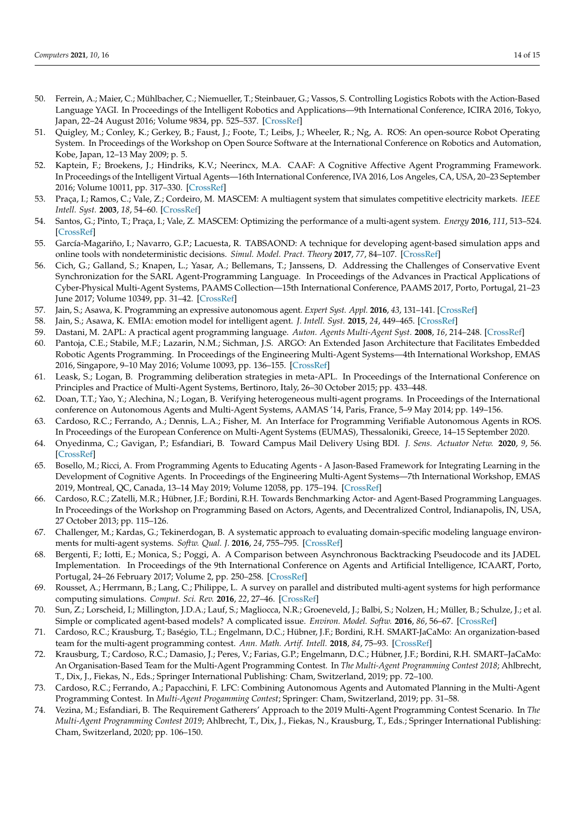- <span id="page-13-0"></span>50. Ferrein, A.; Maier, C.; Mühlbacher, C.; Niemueller, T.; Steinbauer, G.; Vassos, S. Controlling Logistics Robots with the Action-Based Language YAGI. In Proceedings of the Intelligent Robotics and Applications—9th International Conference, ICIRA 2016, Tokyo, Japan, 22–24 August 2016; Volume 9834, pp. 525–537. [\[CrossRef\]](http://dx.doi.org/10.1007/978-3-319-43506-0_46)
- <span id="page-13-1"></span>51. Quigley, M.; Conley, K.; Gerkey, B.; Faust, J.; Foote, T.; Leibs, J.; Wheeler, R.; Ng, A. ROS: An open-source Robot Operating System. In Proceedings of the Workshop on Open Source Software at the International Conference on Robotics and Automation, Kobe, Japan, 12–13 May 2009; p. 5.
- <span id="page-13-2"></span>52. Kaptein, F.; Broekens, J.; Hindriks, K.V.; Neerincx, M.A. CAAF: A Cognitive Affective Agent Programming Framework. In Proceedings of the Intelligent Virtual Agents—16th International Conference, IVA 2016, Los Angeles, CA, USA, 20–23 September 2016; Volume 10011, pp. 317–330. [\[CrossRef\]](http://dx.doi.org/10.1007/978-3-319-47665-0_28)
- <span id="page-13-3"></span>53. Praça, I.; Ramos, C.; Vale, Z.; Cordeiro, M. MASCEM: A multiagent system that simulates competitive electricity markets. *IEEE Intell. Syst.* **2003**, *18*, 54–60. [\[CrossRef\]](http://dx.doi.org/10.1109/MIS.2003.1249170)
- <span id="page-13-4"></span>54. Santos, G.; Pinto, T.; Praça, I.; Vale, Z. MASCEM: Optimizing the performance of a multi-agent system. *Energy* **2016**, *111*, 513–524. [\[CrossRef\]](http://dx.doi.org/10.1016/j.energy.2016.05.127)
- <span id="page-13-5"></span>55. García-Magariño, I.; Navarro, G.P.; Lacuesta, R. TABSAOND: A technique for developing agent-based simulation apps and online tools with nondeterministic decisions. *Simul. Model. Pract. Theory* **2017**, *77*, 84–107. [\[CrossRef\]](http://dx.doi.org/10.1016/j.simpat.2017.05.006)
- <span id="page-13-6"></span>56. Cich, G.; Galland, S.; Knapen, L.; Yasar, A.; Bellemans, T.; Janssens, D. Addressing the Challenges of Conservative Event Synchronization for the SARL Agent-Programming Language. In Proceedings of the Advances in Practical Applications of Cyber-Physical Multi-Agent Systems, PAAMS Collection—15th International Conference, PAAMS 2017, Porto, Portugal, 21–23 June 2017; Volume 10349, pp. 31–42. [\[CrossRef\]](http://dx.doi.org/10.1007/978-3-319-59930-4_3)
- <span id="page-13-7"></span>57. Jain, S.; Asawa, K. Programming an expressive autonomous agent. *Expert Syst. Appl.* **2016**, *43*, 131–141. [\[CrossRef\]](http://dx.doi.org/10.1016/j.eswa.2015.08.037)
- <span id="page-13-8"></span>58. Jain, S.; Asawa, K. EMIA: emotion model for intelligent agent. *J. Intell. Syst.* **2015**, *24*, 449–465. [\[CrossRef\]](http://dx.doi.org/10.1515/jisys-2014-0071)
- <span id="page-13-9"></span>59. Dastani, M. 2APL: A practical agent programming language. *Auton. Agents Multi-Agent Syst.* **2008**, *16*, 214–248. [\[CrossRef\]](http://dx.doi.org/10.1007/s10458-008-9036-y)
- <span id="page-13-10"></span>60. Pantoja, C.E.; Stabile, M.F.; Lazarin, N.M.; Sichman, J.S. ARGO: An Extended Jason Architecture that Facilitates Embedded Robotic Agents Programming. In Proceedings of the Engineering Multi-Agent Systems—4th International Workshop, EMAS 2016, Singapore, 9–10 May 2016; Volume 10093, pp. 136–155. [\[CrossRef\]](http://dx.doi.org/10.1007/978-3-319-50983-9_8)
- <span id="page-13-11"></span>61. Leask, S.; Logan, B. Programming deliberation strategies in meta-APL. In Proceedings of the International Conference on Principles and Practice of Multi-Agent Systems, Bertinoro, Italy, 26–30 October 2015; pp. 433–448.
- <span id="page-13-12"></span>62. Doan, T.T.; Yao, Y.; Alechina, N.; Logan, B. Verifying heterogeneous multi-agent programs. In Proceedings of the International conference on Autonomous Agents and Multi-Agent Systems, AAMAS '14, Paris, France, 5–9 May 2014; pp. 149–156.
- <span id="page-13-13"></span>63. Cardoso, R.C.; Ferrando, A.; Dennis, L.A.; Fisher, M. An Interface for Programming Verifiable Autonomous Agents in ROS. In Proceedings of the European Conference on Multi-Agent Systems (EUMAS), Thessaloniki, Greece, 14–15 September 2020.
- <span id="page-13-14"></span>64. Onyedinma, C.; Gavigan, P.; Esfandiari, B. Toward Campus Mail Delivery Using BDI. *J. Sens. Actuator Netw.* **2020**, *9*, 56. [\[CrossRef\]](http://dx.doi.org/10.3390/jsan9040056)
- <span id="page-13-15"></span>65. Bosello, M.; Ricci, A. From Programming Agents to Educating Agents - A Jason-Based Framework for Integrating Learning in the Development of Cognitive Agents. In Proceedings of the Engineering Multi-Agent Systems—7th International Workshop, EMAS 2019, Montreal, QC, Canada, 13–14 May 2019; Volume 12058, pp. 175–194. [\[CrossRef\]](http://dx.doi.org/10.1007/978-3-030-51417-4_9)
- <span id="page-13-16"></span>66. Cardoso, R.C.; Zatelli, M.R.; Hübner, J.F.; Bordini, R.H. Towards Benchmarking Actor- and Agent-Based Programming Languages. In Proceedings of the Workshop on Programming Based on Actors, Agents, and Decentralized Control, Indianapolis, IN, USA, 27 October 2013; pp. 115–126.
- <span id="page-13-17"></span>67. Challenger, M.; Kardas, G.; Tekinerdogan, B. A systematic approach to evaluating domain-specific modeling language environments for multi-agent systems. *Softw. Qual. J.* **2016**, *24*, 755–795. [\[CrossRef\]](http://dx.doi.org/10.1007/s11219-015-9291-5)
- <span id="page-13-18"></span>68. Bergenti, F.; Iotti, E.; Monica, S.; Poggi, A. A Comparison between Asynchronous Backtracking Pseudocode and its JADEL Implementation. In Proceedings of the 9th International Conference on Agents and Artificial Intelligence, ICAART, Porto, Portugal, 24–26 February 2017; Volume 2, pp. 250–258. [\[CrossRef\]](http://dx.doi.org/10.5220/0006205902500258)
- <span id="page-13-19"></span>69. Rousset, A.; Herrmann, B.; Lang, C.; Philippe, L. A survey on parallel and distributed multi-agent systems for high performance computing simulations. *Comput. Sci. Rev.* **2016**, *22*, 27–46. [\[CrossRef\]](http://dx.doi.org/10.1016/j.cosrev.2016.08.001)
- <span id="page-13-20"></span>70. Sun, Z.; Lorscheid, I.; Millington, J.D.A.; Lauf, S.; Magliocca, N.R.; Groeneveld, J.; Balbi, S.; Nolzen, H.; Müller, B.; Schulze, J.; et al. Simple or complicated agent-based models? A complicated issue. *Environ. Model. Softw.* **2016**, *86*, 56–67. [\[CrossRef\]](http://dx.doi.org/10.1016/j.envsoft.2016.09.006)
- <span id="page-13-21"></span>71. Cardoso, R.C.; Krausburg, T.; Baségio, T.L.; Engelmann, D.C.; Hübner, J.F.; Bordini, R.H. SMART-JaCaMo: An organization-based team for the multi-agent programming contest. *Ann. Math. Artif. Intell.* **2018**, *84*, 75–93. [\[CrossRef\]](http://dx.doi.org/10.1007/s10472-018-9584-z)
- 72. Krausburg, T.; Cardoso, R.C.; Damasio, J.; Peres, V.; Farias, G.P.; Engelmann, D.C.; Hübner, J.F.; Bordini, R.H. SMART–JaCaMo: An Organisation-Based Team for the Multi-Agent Programming Contest. In *The Multi-Agent Programming Contest 2018*; Ahlbrecht, T., Dix, J., Fiekas, N., Eds.; Springer International Publishing: Cham, Switzerland, 2019; pp. 72–100.
- <span id="page-13-22"></span>73. Cardoso, R.C.; Ferrando, A.; Papacchini, F. LFC: Combining Autonomous Agents and Automated Planning in the Multi-Agent Programming Contest. In *Multi-Agent Progamming Contest*; Springer: Cham, Switzerland, 2019; pp. 31–58.
- <span id="page-13-23"></span>74. Vezina, M.; Esfandiari, B. The Requirement Gatherers' Approach to the 2019 Multi-Agent Programming Contest Scenario. In *The Multi-Agent Programming Contest 2019*; Ahlbrecht, T., Dix, J., Fiekas, N., Krausburg, T., Eds.; Springer International Publishing: Cham, Switzerland, 2020; pp. 106–150.